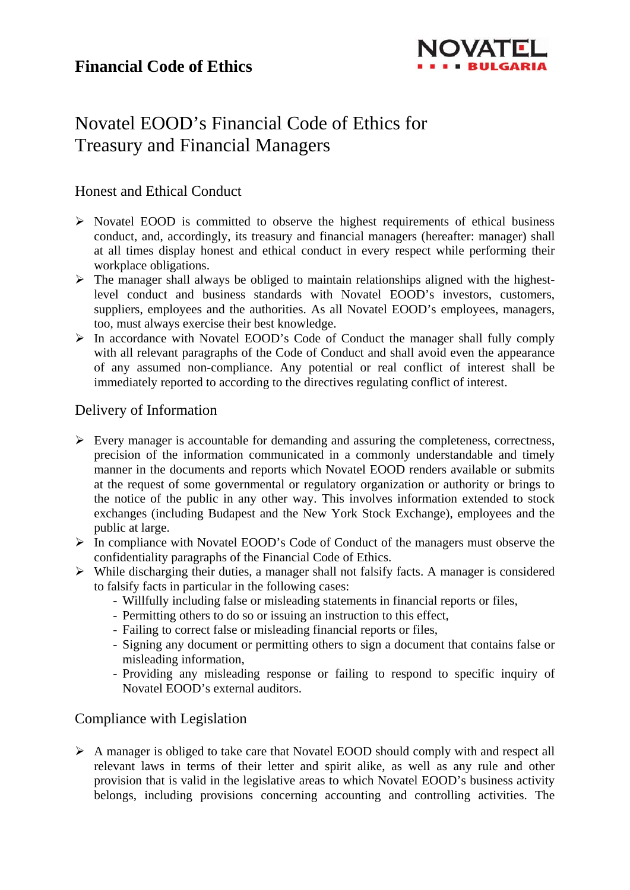

# Novatel EOOD's Financial Code of Ethics for Treasury and Financial Managers

## Honest and Ethical Conduct

- $\triangleright$  Novatel EOOD is committed to observe the highest requirements of ethical business conduct, and, accordingly, its treasury and financial managers (hereafter: manager) shall at all times display honest and ethical conduct in every respect while performing their workplace obligations.
- $\triangleright$  The manager shall always be obliged to maintain relationships aligned with the highestlevel conduct and business standards with Novatel EOOD's investors, customers, suppliers, employees and the authorities. As all Novatel EOOD's employees, managers, too, must always exercise their best knowledge.
- $\triangleright$  In accordance with Novatel EOOD's Code of Conduct the manager shall fully comply with all relevant paragraphs of the Code of Conduct and shall avoid even the appearance of any assumed non-compliance. Any potential or real conflict of interest shall be immediately reported to according to the directives regulating conflict of interest.

## Delivery of Information

- $\triangleright$  Every manager is accountable for demanding and assuring the completeness, correctness, precision of the information communicated in a commonly understandable and timely manner in the documents and reports which Novatel EOOD renders available or submits at the request of some governmental or regulatory organization or authority or brings to the notice of the public in any other way. This involves information extended to stock exchanges (including Budapest and the New York Stock Exchange), employees and the public at large.
- In compliance with Novatel EOOD's Code of Conduct of the managers must observe the confidentiality paragraphs of the Financial Code of Ethics.
- While discharging their duties, a manager shall not falsify facts. A manager is considered to falsify facts in particular in the following cases:
	- Willfully including false or misleading statements in financial reports or files,
	- Permitting others to do so or issuing an instruction to this effect,
	- Failing to correct false or misleading financial reports or files,
	- Signing any document or permitting others to sign a document that contains false or misleading information,
	- Providing any misleading response or failing to respond to specific inquiry of Novatel EOOD's external auditors.

#### Compliance with Legislation

 A manager is obliged to take care that Novatel EOOD should comply with and respect all relevant laws in terms of their letter and spirit alike, as well as any rule and other provision that is valid in the legislative areas to which Novatel EOOD's business activity belongs, including provisions concerning accounting and controlling activities. The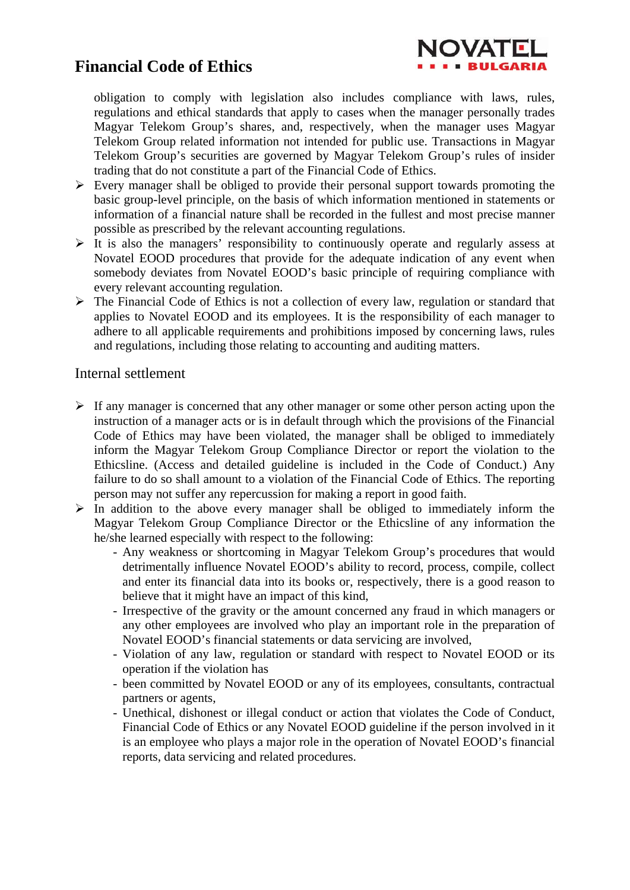## **Financial Code of Ethics**



obligation to comply with legislation also includes compliance with laws, rules, regulations and ethical standards that apply to cases when the manager personally trades Magyar Telekom Group's shares, and, respectively, when the manager uses Magyar Telekom Group related information not intended for public use. Transactions in Magyar Telekom Group's securities are governed by Magyar Telekom Group's rules of insider trading that do not constitute a part of the Financial Code of Ethics.

- $\triangleright$  Every manager shall be obliged to provide their personal support towards promoting the basic group-level principle, on the basis of which information mentioned in statements or information of a financial nature shall be recorded in the fullest and most precise manner possible as prescribed by the relevant accounting regulations.
- $\triangleright$  It is also the managers' responsibility to continuously operate and regularly assess at Novatel EOOD procedures that provide for the adequate indication of any event when somebody deviates from Novatel EOOD's basic principle of requiring compliance with every relevant accounting regulation.
- $\triangleright$  The Financial Code of Ethics is not a collection of every law, regulation or standard that applies to Novatel EOOD and its employees. It is the responsibility of each manager to adhere to all applicable requirements and prohibitions imposed by concerning laws, rules and regulations, including those relating to accounting and auditing matters.

#### Internal settlement

- $\triangleright$  If any manager is concerned that any other manager or some other person acting upon the instruction of a manager acts or is in default through which the provisions of the Financial Code of Ethics may have been violated, the manager shall be obliged to immediately inform the Magyar Telekom Group Compliance Director or report the violation to the Ethicsline. (Access and detailed guideline is included in the Code of Conduct.) Any failure to do so shall amount to a violation of the Financial Code of Ethics. The reporting person may not suffer any repercussion for making a report in good faith.
- $\triangleright$  In addition to the above every manager shall be obliged to immediately inform the Magyar Telekom Group Compliance Director or the Ethicsline of any information the he/she learned especially with respect to the following:
	- Any weakness or shortcoming in Magyar Telekom Group's procedures that would detrimentally influence Novatel EOOD's ability to record, process, compile, collect and enter its financial data into its books or, respectively, there is a good reason to believe that it might have an impact of this kind,
	- Irrespective of the gravity or the amount concerned any fraud in which managers or any other employees are involved who play an important role in the preparation of Novatel EOOD's financial statements or data servicing are involved,
	- Violation of any law, regulation or standard with respect to Novatel EOOD or its operation if the violation has
	- been committed by Novatel EOOD or any of its employees, consultants, contractual partners or agents,
	- Unethical, dishonest or illegal conduct or action that violates the Code of Conduct, Financial Code of Ethics or any Novatel EOOD guideline if the person involved in it is an employee who plays a major role in the operation of Novatel EOOD's financial reports, data servicing and related procedures.